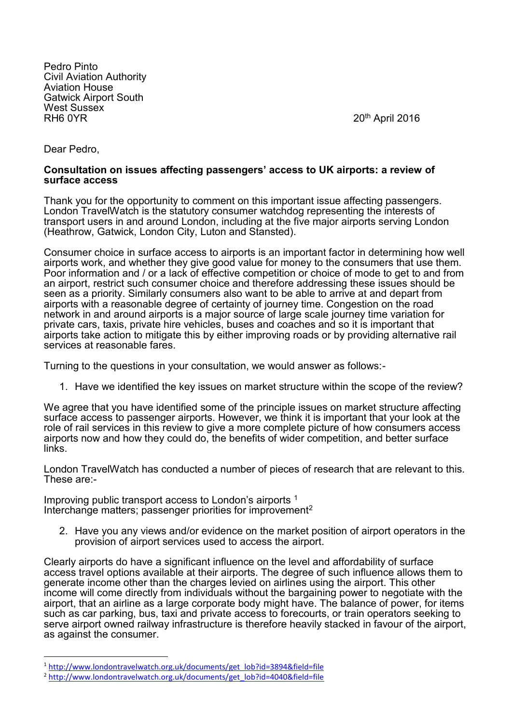Pedro Pinto Civil Aviation Authority Aviation House Gatwick Airport South West Sussex<br>RH6 0YR

 $20<sup>th</sup>$  April 2016

Dear Pedro,

**.** 

## **Consultation on issues affecting passengers' access to UK airports: a review of surface access**

Thank you for the opportunity to comment on this important issue affecting passengers. London TravelWatch is the statutory consumer watchdog representing the interests of transport users in and around London, including at the five major airports serving London (Heathrow, Gatwick, London City, Luton and Stansted).

Consumer choice in surface access to airports is an important factor in determining how well airports work, and whether they give good value for money to the consumers that use them. Poor information and / or a lack of effective competition or choice of mode to get to and from an airport, restrict such consumer choice and therefore addressing these issues should be seen as a priority. Similarly consumers also want to be able to arrive at and depart from airports with a reasonable degree of certainty of journey time. Congestion on the road network in and around airports is a major source of large scale journey time variation for private cars, taxis, private hire vehicles, buses and coaches and so it is important that airports take action to mitigate this by either improving roads or by providing alternative rail services at reasonable fares.

Turning to the questions in your consultation, we would answer as follows:-

1. Have we identified the key issues on market structure within the scope of the review?

We agree that you have identified some of the principle issues on market structure affecting surface access to passenger airports. However, we think it is important that your look at the role of rail services in this review to give a more complete picture of how consumers access airports now and how they could do, the benefits of wider competition, and better surface links.

London TravelWatch has conducted a number of pieces of research that are relevant to this. These are:-

Improving public transport access to London's airports <sup>1</sup> Interchange matters; passenger priorities for improvement<sup>2</sup>

2. Have you any views and/or evidence on the market position of airport operators in the provision of airport services used to access the airport.

Clearly airports do have a significant influence on the level and affordability of surface access travel options available at their airports. The degree of such influence allows them to generate income other than the charges levied on airlines using the airport. This other income will come directly from individuals without the bargaining power to negotiate with the airport, that an airline as a large corporate body might have. The balance of power, for items such as car parking, bus, taxi and private access to forecourts, or train operators seeking to serve airport owned railway infrastructure is therefore heavily stacked in favour of the airport, as against the consumer.

<sup>1</sup> [http://www.londontravelwatch.org.uk/documents/get\\_lob?id=3894&field=file](http://www.londontravelwatch.org.uk/documents/get_lob?id=3894&field=file)

<sup>2</sup> [http://www.londontravelwatch.org.uk/documents/get\\_lob?id=4040&field=file](http://www.londontravelwatch.org.uk/documents/get_lob?id=4040&field=file)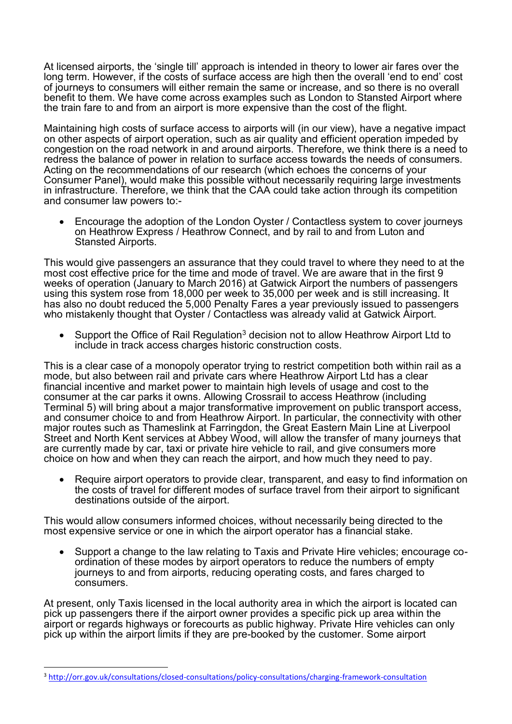At licensed airports, the 'single till' approach is intended in theory to lower air fares over the long term. However, if the costs of surface access are high then the overall 'end to end' cost of journeys to consumers will either remain the same or increase, and so there is no overall benefit to them. We have come across examples such as London to Stansted Airport where the train fare to and from an airport is more expensive than the cost of the flight.

Maintaining high costs of surface access to airports will (in our view), have a negative impact on other aspects of airport operation, such as air quality and efficient operation impeded by congestion on the road network in and around airports. Therefore, we think there is a need to redress the balance of power in relation to surface access towards the needs of consumers. Acting on the recommendations of our research (which echoes the concerns of your Consumer Panel), would make this possible without necessarily requiring large investments in infrastructure. Therefore, we think that the CAA could take action through its competition and consumer law powers to:-

 Encourage the adoption of the London Oyster / Contactless system to cover journeys on Heathrow Express / Heathrow Connect, and by rail to and from Luton and Stansted Airports.

This would give passengers an assurance that they could travel to where they need to at the most cost effective price for the time and mode of travel. We are aware that in the first 9 weeks of operation (January to March 2016) at Gatwick Airport the numbers of passengers using this system rose from 18,000 per week to 35,000 per week and is still increasing. It has also no doubt reduced the 5,000 Penalty Fares a year previously issued to passengers who mistakenly thought that Oyster / Contactless was already valid at Gatwick Airport.

Support the Office of Rail Regulation<sup>3</sup> decision not to allow Heathrow Airport Ltd to include in track access charges historic construction costs.

This is a clear case of a monopoly operator trying to restrict competition both within rail as a mode, but also between rail and private cars where Heathrow Airport Ltd has a clear financial incentive and market power to maintain high levels of usage and cost to the consumer at the car parks it owns. Allowing Crossrail to access Heathrow (including Terminal 5) will bring about a major transformative improvement on public transport access, and consumer choice to and from Heathrow Airport. In particular, the connectivity with other major routes such as Thameslink at Farringdon, the Great Eastern Main Line at Liverpool Street and North Kent services at Abbey Wood, will allow the transfer of many journeys that are currently made by car, taxi or private hire vehicle to rail, and give consumers more choice on how and when they can reach the airport, and how much they need to pay.

 Require airport operators to provide clear, transparent, and easy to find information on the costs of travel for different modes of surface travel from their airport to significant destinations outside of the airport.

This would allow consumers informed choices, without necessarily being directed to the most expensive service or one in which the airport operator has a financial stake.

 Support a change to the law relating to Taxis and Private Hire vehicles; encourage coordination of these modes by airport operators to reduce the numbers of empty journeys to and from airports, reducing operating costs, and fares charged to consumers.

At present, only Taxis licensed in the local authority area in which the airport is located can pick up passengers there if the airport owner provides a specific pick up area within the airport or regards highways or forecourts as public highway. Private Hire vehicles can only pick up within the airport limits if they are pre-booked by the customer. Some airport

 $\overline{a}$ 

<sup>3</sup> <http://orr.gov.uk/consultations/closed-consultations/policy-consultations/charging-framework-consultation>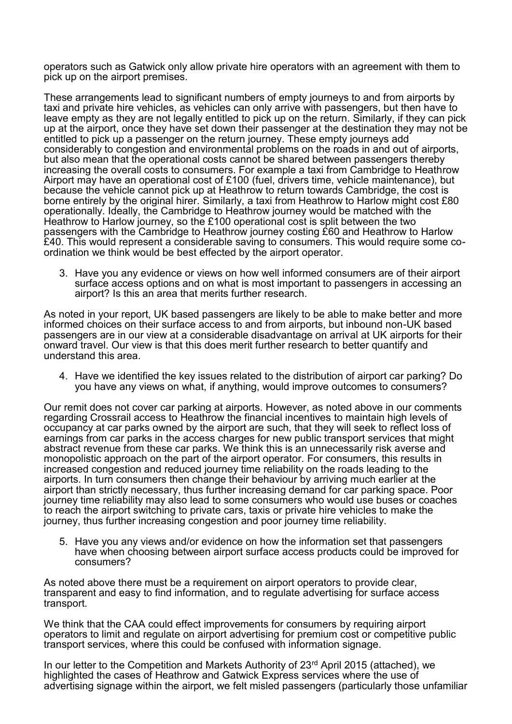operators such as Gatwick only allow private hire operators with an agreement with them to pick up on the airport premises.

These arrangements lead to significant numbers of empty journeys to and from airports by taxi and private hire vehicles, as vehicles can only arrive with passengers, but then have to leave empty as they are not legally entitled to pick up on the return. Similarly, if they can pick up at the airport, once they have set down their passenger at the destination they may not be entitled to pick up a passenger on the return journey. These empty journeys add considerably to congestion and environmental problems on the roads in and out of airports, but also mean that the operational costs cannot be shared between passengers thereby increasing the overall costs to consumers. For example a taxi from Cambridge to Heathrow Airport may have an operational cost of £100 (fuel, drivers time, vehicle maintenance), but because the vehicle cannot pick up at Heathrow to return towards Cambridge, the cost is borne entirely by the original hirer. Similarly, a taxi from Heathrow to Harlow might cost £80 operationally. Ideally, the Cambridge to Heathrow journey would be matched with the Heathrow to Harlow journey, so the £100 operational cost is split between the two passengers with the Cambridge to Heathrow journey costing £60 and Heathrow to Harlow £40. This would represent a considerable saving to consumers. This would require some coordination we think would be best effected by the airport operator.

3. Have you any evidence or views on how well informed consumers are of their airport surface access options and on what is most important to passengers in accessing an airport? Is this an area that merits further research.

As noted in your report, UK based passengers are likely to be able to make better and more informed choices on their surface access to and from airports, but inbound non-UK based passengers are in our view at a considerable disadvantage on arrival at UK airports for their onward travel. Our view is that this does merit further research to better quantify and understand this area.

4. Have we identified the key issues related to the distribution of airport car parking? Do you have any views on what, if anything, would improve outcomes to consumers?

Our remit does not cover car parking at airports. However, as noted above in our comments regarding Crossrail access to Heathrow the financial incentives to maintain high levels of occupancy at car parks owned by the airport are such, that they will seek to reflect loss of earnings from car parks in the access charges for new public transport services that might abstract revenue from these car parks. We think this is an unnecessarily risk averse and monopolistic approach on the part of the airport operator. For consumers, this results in increased congestion and reduced journey time reliability on the roads leading to the airports. In turn consumers then change their behaviour by arriving much earlier at the airport than strictly necessary, thus further increasing demand for car parking space. Poor journey time reliability may also lead to some consumers who would use buses or coaches to reach the airport switching to private cars, taxis or private hire vehicles to make the journey, thus further increasing congestion and poor journey time reliability.

5. Have you any views and/or evidence on how the information set that passengers have when choosing between airport surface access products could be improved for consumers?

As noted above there must be a requirement on airport operators to provide clear, transparent and easy to find information, and to regulate advertising for surface access transport.

We think that the CAA could effect improvements for consumers by requiring airport operators to limit and regulate on airport advertising for premium cost or competitive public transport services, where this could be confused with information signage.

In our letter to the Competition and Markets Authority of 23rd April 2015 (attached), we highlighted the cases of Heathrow and Gatwick Express services where the use of advertising signage within the airport, we felt misled passengers (particularly those unfamiliar